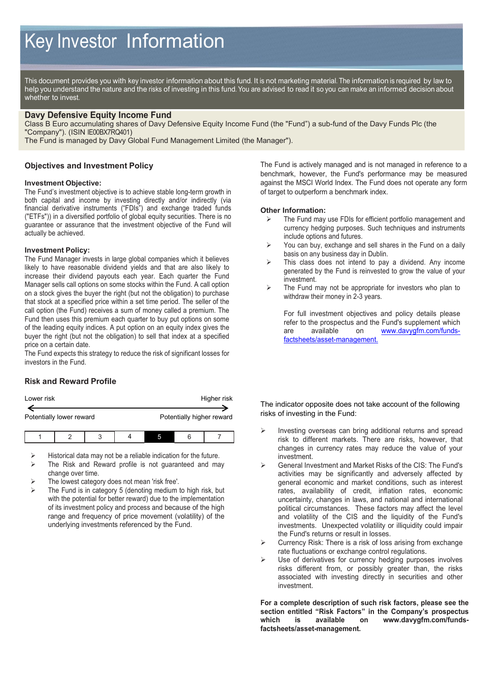This document provides you with key investor information about this fund. It is not marketing material. The information is required by law to help you understand the nature and the risks of investing in this fund. You are advised to read it so you can make an informed decision about whether to invest.

### **Davy Defensive Equity Income Fund**

Class B Euro accumulating shares of Davy Defensive Equity Income Fund (the "Fund") a sub-fund of the Davy Funds Plc (the "Company"). (ISIN IE00BX7RQ401)

The Fund is managed by Davy Global Fund Management Limited (the Manager").

## **Objectives and Investment Policy**

### **Investment Objective:**

The Fund's investment objective is to achieve stable long-term growth in both capital and income by investing directly and/or indirectly (via financial derivative instruments ("FDIs") and exchange traded funds ("ETFs")) in a diversified portfolio of global equity securities. There is no guarantee or assurance that the investment objective of the Fund will actually be achieved.

### **Investment Policy:**

The Fund Manager invests in large global companies which it believes likely to have reasonable dividend yields and that are also likely to increase their dividend payouts each year. Each quarter the Fund Manager sells call options on some stocks within the Fund. A call option on a stock gives the buyer the right (but not the obligation) to purchase that stock at a specified price within a set time period. The seller of the call option (the Fund) receives a sum of money called a premium. The Fund then uses this premium each quarter to buy put options on some of the leading equity indices. A put option on an equity index gives the buyer the right (but not the obligation) to sell that index at a specified price on a certain date.

The Fund expects this strategy to reduce the risk of significant losses for investors in the Fund.

# **Risk and Reward Profile**

| Lower risk               |  |  |  |                           | Higher risk |
|--------------------------|--|--|--|---------------------------|-------------|
| Potentially lower reward |  |  |  | Potentially higher reward |             |
|                          |  |  |  |                           |             |

- Historical data may not be a reliable indication for the future.
- $\triangleright$  The Risk and Reward profile is not guaranteed and may change over time.
- The lowest category does not mean 'risk free'.
- The Fund is in category 5 (denoting medium to high risk, but with the potential for better reward) due to the implementation of its investment policy and process and because of the high range and frequency of price movement (volatility) of the underlying investments referenced by the Fund.

The Fund is actively managed and is not managed in reference to a benchmark, however, the Fund's performance may be measured against the MSCI World Index. The Fund does not operate any form of target to outperform a benchmark index.

### **Other Information:**

- The Fund may use FDIs for efficient portfolio management and currency hedging purposes. Such techniques and instruments include options and futures.
- $\triangleright$  You can buy, exchange and sell shares in the Fund on a daily basis on any business day in Dublin.
- This class does not intend to pay a dividend. Any income generated by the Fund is reinvested to grow the value of your investment.
- $\triangleright$  The Fund may not be appropriate for investors who plan to withdraw their money in 2-3 years.

For full investment objectives and policy details please refer to the prospectus and the Fund's supplement which are available on [www.davygfm.com/funds](http://www.davygfm.com/funds-factsheets/asset-management.)[factsheets/asset-management.](http://www.davygfm.com/funds-factsheets/asset-management.)

The indicator opposite does not take account of the following risks of investing in the Fund:

- $\triangleright$  Investing overseas can bring additional returns and spread risk to different markets. There are risks, however, that changes in currency rates may reduce the value of your investment.
- General Investment and Market Risks of the CIS: The Fund's activities may be significantly and adversely affected by general economic and market conditions, such as interest rates, availability of credit, inflation rates, economic uncertainty, changes in laws, and national and international political circumstances. These factors may affect the level and volatility of the CIS and the liquidity of the Fund's investments. Unexpected volatility or illiquidity could impair the Fund's returns or result in losses.
- Currency Risk: There is a risk of loss arising from exchange rate fluctuations or exchange control regulations.
- Use of derivatives for currency hedging purposes involves risks different from, or possibly greater than, the risks associated with investing directly in securities and other investment.

**For a complete description of such risk factors, please see the section entitled "Risk Factors" in the Company's prospectus which is available on www.davygfm.com/fundsfactsheets/asset-management.**